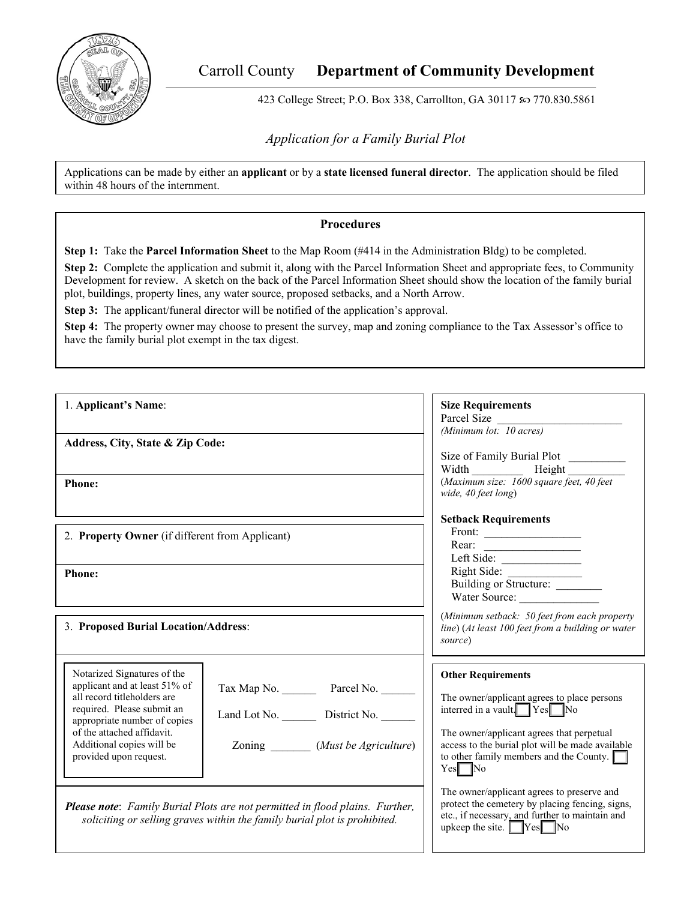

# Carroll County **Department of Community Development**

423 College Street; P.O. Box 338, Carrollton, GA 30117 & 770.830.5861

*Application for a Family Burial Plot* 

Applications can be made by either an **applicant** or by a **state licensed funeral director**. The application should be filed within 48 hours of the internment.

#### **Procedures**

**Step 1:** Take the **Parcel Information Sheet** to the Map Room (#414 in the Administration Bldg) to be completed.

**Step 2:** Complete the application and submit it, along with the Parcel Information Sheet and appropriate fees, to Community Development for review. A sketch on the back of the Parcel Information Sheet should show the location of the family burial plot, buildings, property lines, any water source, proposed setbacks, and a North Arrow.

**Step 3:** The applicant/funeral director will be notified of the application's approval.

**Step 4:** The property owner may choose to present the survey, map and zoning compliance to the Tax Assessor's office to have the family burial plot exempt in the tax digest.

| 1. Applicant's Name:                                                                                                                                                                                                                           |                                                                                                                                                                  | <b>Size Requirements</b><br>Parcel Size<br>(Minimum lot: 10 acres)                                                                                                                                                                                                                                                                       |  |  |
|------------------------------------------------------------------------------------------------------------------------------------------------------------------------------------------------------------------------------------------------|------------------------------------------------------------------------------------------------------------------------------------------------------------------|------------------------------------------------------------------------------------------------------------------------------------------------------------------------------------------------------------------------------------------------------------------------------------------------------------------------------------------|--|--|
| Address, City, State & Zip Code:                                                                                                                                                                                                               |                                                                                                                                                                  | Size of Family Burial Plot<br>(Maximum size: 1600 square feet, 40 feet<br>wide, 40 feet long)<br><b>Setback Requirements</b><br>Front: $\qquad \qquad$<br>Right Side:<br>Building or Structure: _______<br>Water Source:<br>(Minimum setback: 50 feet from each property<br>line) (At least 100 feet from a building or water<br>source) |  |  |
| <b>Phone:</b>                                                                                                                                                                                                                                  |                                                                                                                                                                  |                                                                                                                                                                                                                                                                                                                                          |  |  |
| 2. Property Owner (if different from Applicant)                                                                                                                                                                                                |                                                                                                                                                                  |                                                                                                                                                                                                                                                                                                                                          |  |  |
| <b>Phone:</b>                                                                                                                                                                                                                                  |                                                                                                                                                                  |                                                                                                                                                                                                                                                                                                                                          |  |  |
| 3. Proposed Burial Location/Address:                                                                                                                                                                                                           |                                                                                                                                                                  |                                                                                                                                                                                                                                                                                                                                          |  |  |
| Notarized Signatures of the<br>applicant and at least 51% of<br>all record titleholders are<br>required. Please submit an<br>appropriate number of copies<br>of the attached affidavit.<br>Additional copies will be<br>provided upon request. | Tax Map No. Parcel No.<br>Land Lot No. District No.<br>Zoning ________ (Must be Agriculture)                                                                     | <b>Other Requirements</b><br>The owner/applicant agrees to place persons<br>interred in a vault. Yes No<br>The owner/applicant agrees that perpetual<br>access to the burial plot will be made available<br>to other family members and the County. $\Box$<br>$Yes$ No                                                                   |  |  |
|                                                                                                                                                                                                                                                | <b>Please note:</b> Family Burial Plots are not permitted in flood plains. Further,<br>soliciting or selling graves within the family burial plot is prohibited. | The owner/applicant agrees to preserve and<br>protect the cemetery by placing fencing, signs,<br>etc., if necessary, and further to maintain and<br>upkeep the site. $Yes$ No                                                                                                                                                            |  |  |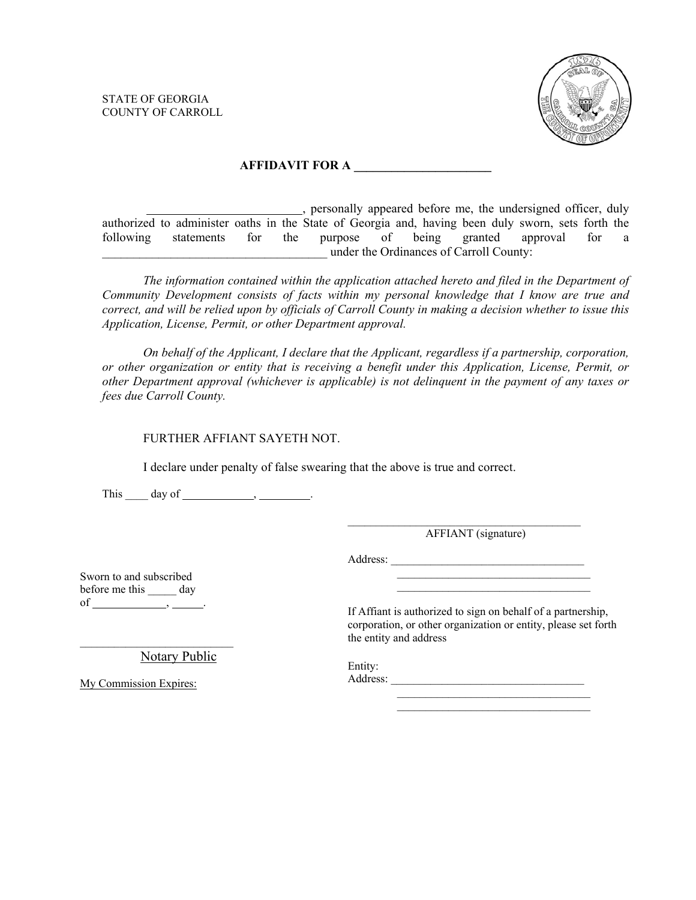STATE OF GEORGIA COUNTY OF CARROLL



#### **AFFIDAVIT FOR A \_\_\_\_\_\_\_\_\_\_\_\_\_\_\_\_\_\_\_\_\_\_**

 , personally appeared before me, the undersigned officer, duly authorized to administer oaths in the State of Georgia and, having been duly sworn, sets forth the following statements for the purpose of being granted approval for a \_\_\_\_\_\_\_\_\_\_\_\_\_\_\_\_\_\_\_\_\_\_\_\_\_\_\_\_\_\_\_\_\_\_\_\_ under the Ordinances of Carroll County:

*The information contained within the application attached hereto and filed in the Department of Community Development consists of facts within my personal knowledge that I know are true and correct, and will be relied upon by officials of Carroll County in making a decision whether to issue this Application, License, Permit, or other Department approval.* 

*On behalf of the Applicant, I declare that the Applicant, regardless if a partnership, corporation, or other organization or entity that is receiving a benefit under this Application, License, Permit, or other Department approval (whichever is applicable) is not delinquent in the payment of any taxes or fees due Carroll County.* 

FURTHER AFFIANT SAYETH NOT.

I declare under penalty of false swearing that the above is true and correct.

This  $\_\_\_$  day of  $\_\_\_\_\_\_\_\_\_\_\_\_\_\_\_\_\_\_\_\_\_\_\_\_\_\_\_\_\_\_.\_$ 

AFFIANT (signature)

Address: \_\_\_\_\_\_\_\_\_\_\_\_\_\_\_\_\_\_\_\_\_\_\_\_\_\_\_\_\_\_\_\_\_\_

 $\mathcal{L}_\text{max}$  and  $\mathcal{L}_\text{max}$  and  $\mathcal{L}_\text{max}$  and  $\mathcal{L}_\text{max}$ 

 $\mathcal{L}_\text{max}$  and  $\mathcal{L}_\text{max}$  and  $\mathcal{L}_\text{max}$  and  $\mathcal{L}_\text{max}$ 

Sworn to and subscribed before me this day of  $\_\_\_\_\_\_\_\_\_\_\_\_\_\_\_\_\_\_\_\_\_\_\_\_\_\_\_.\_$ 

If Affiant is authorized to sign on behalf of a partnership, corporation, or other organization or entity, please set forth the entity and address

Entity: Notary Public

My Commission Expires:

\_\_\_\_\_\_\_\_\_\_\_\_\_\_\_\_\_\_\_\_\_\_\_\_\_\_\_

Address: \_\_\_\_\_\_\_\_\_\_\_\_\_\_\_\_\_\_\_\_\_\_\_\_\_\_\_\_\_\_\_\_\_\_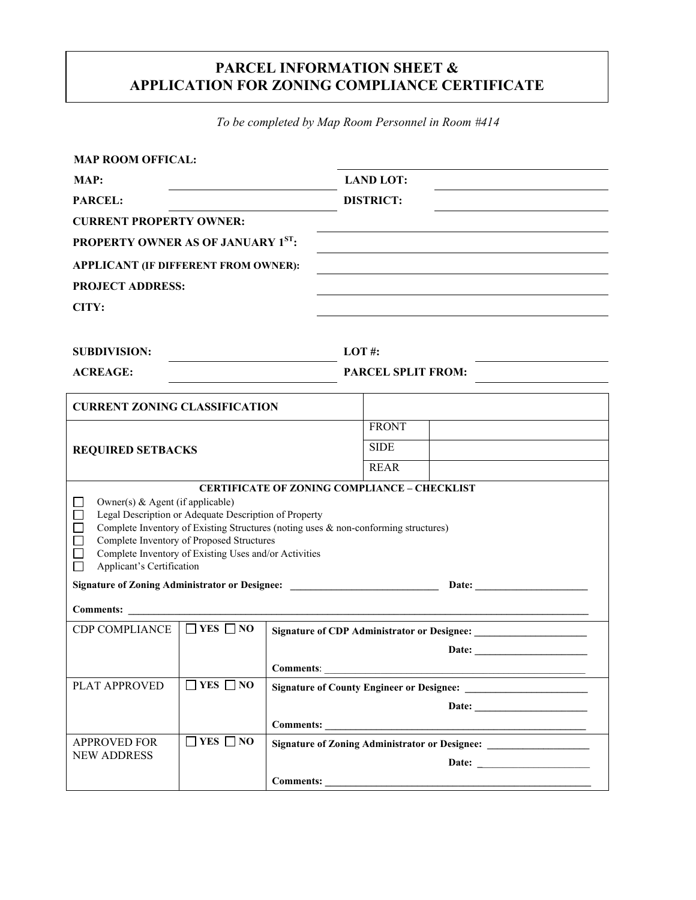### **PARCEL INFORMATION SHEET & APPLICATION FOR ZONING COMPLIANCE CERTIFICATE**

*To be completed by Map Room Personnel in Room #414* 

| <b>MAP ROOM OFFICAL:</b>                                                                                                                                                                                                                                                                                                                                                        |                      |                                                  |                           |  |  |  |
|---------------------------------------------------------------------------------------------------------------------------------------------------------------------------------------------------------------------------------------------------------------------------------------------------------------------------------------------------------------------------------|----------------------|--------------------------------------------------|---------------------------|--|--|--|
| MAP:                                                                                                                                                                                                                                                                                                                                                                            |                      | <b>LAND LOT:</b>                                 |                           |  |  |  |
| PARCEL:                                                                                                                                                                                                                                                                                                                                                                         |                      |                                                  | <b>DISTRICT:</b>          |  |  |  |
| <b>CURRENT PROPERTY OWNER:</b>                                                                                                                                                                                                                                                                                                                                                  |                      |                                                  |                           |  |  |  |
| <b>PROPERTY OWNER AS OF JANUARY 1ST:</b>                                                                                                                                                                                                                                                                                                                                        |                      |                                                  |                           |  |  |  |
| APPLICANT (IF DIFFERENT FROM OWNER):                                                                                                                                                                                                                                                                                                                                            |                      |                                                  |                           |  |  |  |
| <b>PROJECT ADDRESS:</b>                                                                                                                                                                                                                                                                                                                                                         |                      |                                                  |                           |  |  |  |
| CITY:                                                                                                                                                                                                                                                                                                                                                                           |                      |                                                  |                           |  |  |  |
|                                                                                                                                                                                                                                                                                                                                                                                 |                      |                                                  |                           |  |  |  |
| <b>SUBDIVISION:</b>                                                                                                                                                                                                                                                                                                                                                             |                      | $LOT \#$ :                                       |                           |  |  |  |
| <b>ACREAGE:</b>                                                                                                                                                                                                                                                                                                                                                                 |                      |                                                  | <b>PARCEL SPLIT FROM:</b> |  |  |  |
|                                                                                                                                                                                                                                                                                                                                                                                 |                      |                                                  |                           |  |  |  |
| <b>CURRENT ZONING CLASSIFICATION</b>                                                                                                                                                                                                                                                                                                                                            |                      |                                                  |                           |  |  |  |
| <b>REQUIRED SETBACKS</b>                                                                                                                                                                                                                                                                                                                                                        |                      |                                                  | <b>FRONT</b>              |  |  |  |
|                                                                                                                                                                                                                                                                                                                                                                                 |                      |                                                  | <b>SIDE</b>               |  |  |  |
|                                                                                                                                                                                                                                                                                                                                                                                 |                      |                                                  | <b>REAR</b>               |  |  |  |
| <b>CERTIFICATE OF ZONING COMPLIANCE - CHECKLIST</b><br>Owner(s) & Agent (if applicable)<br>Legal Description or Adequate Description of Property<br>Complete Inventory of Existing Structures (noting uses & non-conforming structures)<br>Complete Inventory of Proposed Structures<br>Complete Inventory of Existing Uses and/or Activities<br>Applicant's Certification<br>П |                      |                                                  |                           |  |  |  |
| Signature of Zoning Administrator or Designee: _________________________________<br>Date: <u>Date:</u>                                                                                                                                                                                                                                                                          |                      |                                                  |                           |  |  |  |
| Comments:                                                                                                                                                                                                                                                                                                                                                                       |                      |                                                  |                           |  |  |  |
| <b>CDP COMPLIANCE</b>                                                                                                                                                                                                                                                                                                                                                           | $\Box$ YES $\Box$ NO |                                                  |                           |  |  |  |
|                                                                                                                                                                                                                                                                                                                                                                                 |                      |                                                  |                           |  |  |  |
|                                                                                                                                                                                                                                                                                                                                                                                 |                      | <b>Comments:</b>                                 |                           |  |  |  |
| PLAT APPROVED                                                                                                                                                                                                                                                                                                                                                                   | $\Box$ YES $\Box$ NO | <b>Signature of County Engineer or Designee:</b> |                           |  |  |  |
|                                                                                                                                                                                                                                                                                                                                                                                 |                      | Date:                                            |                           |  |  |  |
|                                                                                                                                                                                                                                                                                                                                                                                 | $\Box$ YES $\Box$ NO |                                                  |                           |  |  |  |
| <b>APPROVED FOR</b><br><b>NEW ADDRESS</b>                                                                                                                                                                                                                                                                                                                                       |                      | Signature of Zoning Administrator or Designee:   |                           |  |  |  |
|                                                                                                                                                                                                                                                                                                                                                                                 |                      | Comments:                                        |                           |  |  |  |
|                                                                                                                                                                                                                                                                                                                                                                                 |                      |                                                  |                           |  |  |  |